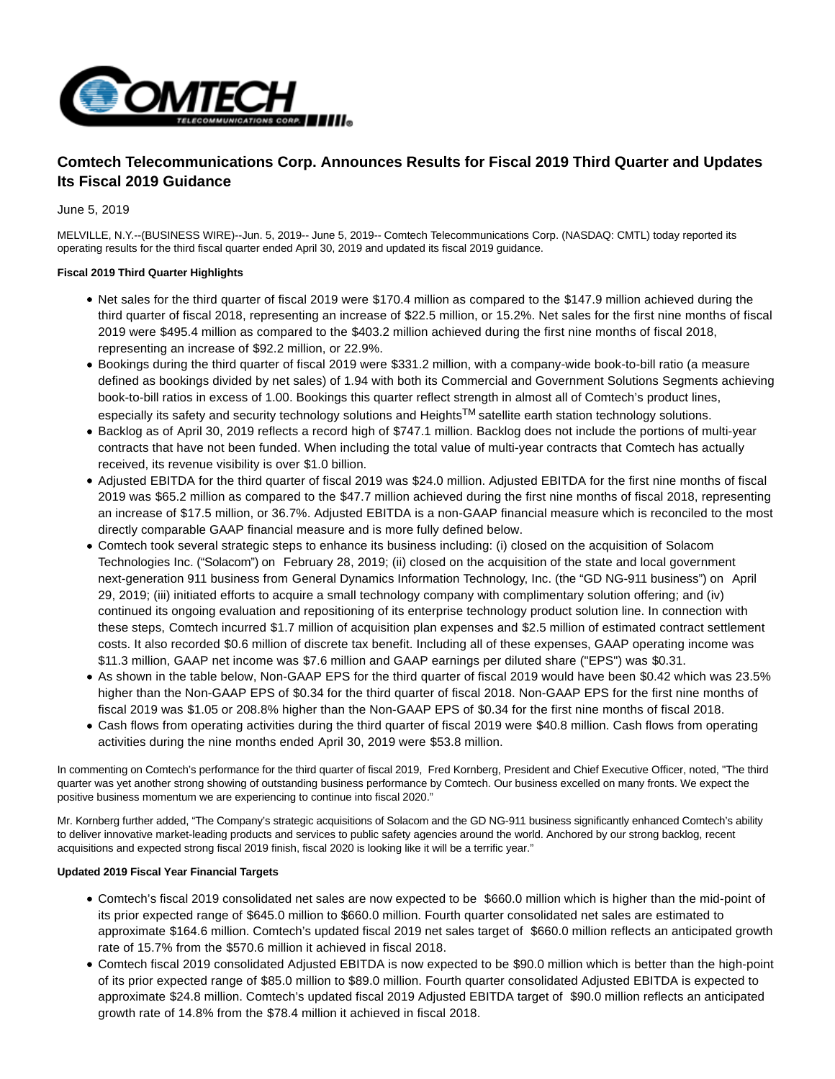

# **Comtech Telecommunications Corp. Announces Results for Fiscal 2019 Third Quarter and Updates Its Fiscal 2019 Guidance**

June 5, 2019

MELVILLE, N.Y.--(BUSINESS WIRE)--Jun. 5, 2019-- June 5, 2019-- Comtech Telecommunications Corp. (NASDAQ: CMTL) today reported its operating results for the third fiscal quarter ended April 30, 2019 and updated its fiscal 2019 guidance.

# **Fiscal 2019 Third Quarter Highlights**

- Net sales for the third quarter of fiscal 2019 were \$170.4 million as compared to the \$147.9 million achieved during the third quarter of fiscal 2018, representing an increase of \$22.5 million, or 15.2%. Net sales for the first nine months of fiscal 2019 were \$495.4 million as compared to the \$403.2 million achieved during the first nine months of fiscal 2018, representing an increase of \$92.2 million, or 22.9%.
- Bookings during the third quarter of fiscal 2019 were \$331.2 million, with a company-wide book-to-bill ratio (a measure defined as bookings divided by net sales) of 1.94 with both its Commercial and Government Solutions Segments achieving book-to-bill ratios in excess of 1.00. Bookings this quarter reflect strength in almost all of Comtech's product lines, especially its safety and security technology solutions and Heights™ satellite earth station technology solutions.
- Backlog as of April 30, 2019 reflects a record high of \$747.1 million. Backlog does not include the portions of multi-year contracts that have not been funded. When including the total value of multi-year contracts that Comtech has actually received, its revenue visibility is over \$1.0 billion.
- Adjusted EBITDA for the third quarter of fiscal 2019 was \$24.0 million. Adjusted EBITDA for the first nine months of fiscal 2019 was \$65.2 million as compared to the \$47.7 million achieved during the first nine months of fiscal 2018, representing an increase of \$17.5 million, or 36.7%. Adjusted EBITDA is a non-GAAP financial measure which is reconciled to the most directly comparable GAAP financial measure and is more fully defined below.
- Comtech took several strategic steps to enhance its business including: (i) closed on the acquisition of Solacom Technologies Inc. ("Solacom") on February 28, 2019; (ii) closed on the acquisition of the state and local government next-generation 911 business from General Dynamics Information Technology, Inc. (the "GD NG-911 business") on April 29, 2019; (iii) initiated efforts to acquire a small technology company with complimentary solution offering; and (iv) continued its ongoing evaluation and repositioning of its enterprise technology product solution line. In connection with these steps, Comtech incurred \$1.7 million of acquisition plan expenses and \$2.5 million of estimated contract settlement costs. It also recorded \$0.6 million of discrete tax benefit. Including all of these expenses, GAAP operating income was \$11.3 million, GAAP net income was \$7.6 million and GAAP earnings per diluted share ("EPS") was \$0.31.
- As shown in the table below, Non-GAAP EPS for the third quarter of fiscal 2019 would have been \$0.42 which was 23.5% higher than the Non-GAAP EPS of \$0.34 for the third quarter of fiscal 2018. Non-GAAP EPS for the first nine months of fiscal 2019 was \$1.05 or 208.8% higher than the Non-GAAP EPS of \$0.34 for the first nine months of fiscal 2018.
- Cash flows from operating activities during the third quarter of fiscal 2019 were \$40.8 million. Cash flows from operating activities during the nine months ended April 30, 2019 were \$53.8 million.

In commenting on Comtech's performance for the third quarter of fiscal 2019, Fred Kornberg, President and Chief Executive Officer, noted, "The third quarter was yet another strong showing of outstanding business performance by Comtech. Our business excelled on many fronts. We expect the positive business momentum we are experiencing to continue into fiscal 2020."

Mr. Kornberg further added, "The Company's strategic acquisitions of Solacom and the GD NG-911 business significantly enhanced Comtech's ability to deliver innovative market-leading products and services to public safety agencies around the world. Anchored by our strong backlog, recent acquisitions and expected strong fiscal 2019 finish, fiscal 2020 is looking like it will be a terrific year."

# **Updated 2019 Fiscal Year Financial Targets**

- Comtech's fiscal 2019 consolidated net sales are now expected to be \$660.0 million which is higher than the mid-point of its prior expected range of \$645.0 million to \$660.0 million. Fourth quarter consolidated net sales are estimated to approximate \$164.6 million. Comtech's updated fiscal 2019 net sales target of \$660.0 million reflects an anticipated growth rate of 15.7% from the \$570.6 million it achieved in fiscal 2018.
- Comtech fiscal 2019 consolidated Adjusted EBITDA is now expected to be \$90.0 million which is better than the high-point of its prior expected range of \$85.0 million to \$89.0 million. Fourth quarter consolidated Adjusted EBITDA is expected to approximate \$24.8 million. Comtech's updated fiscal 2019 Adjusted EBITDA target of \$90.0 million reflects an anticipated growth rate of 14.8% from the \$78.4 million it achieved in fiscal 2018.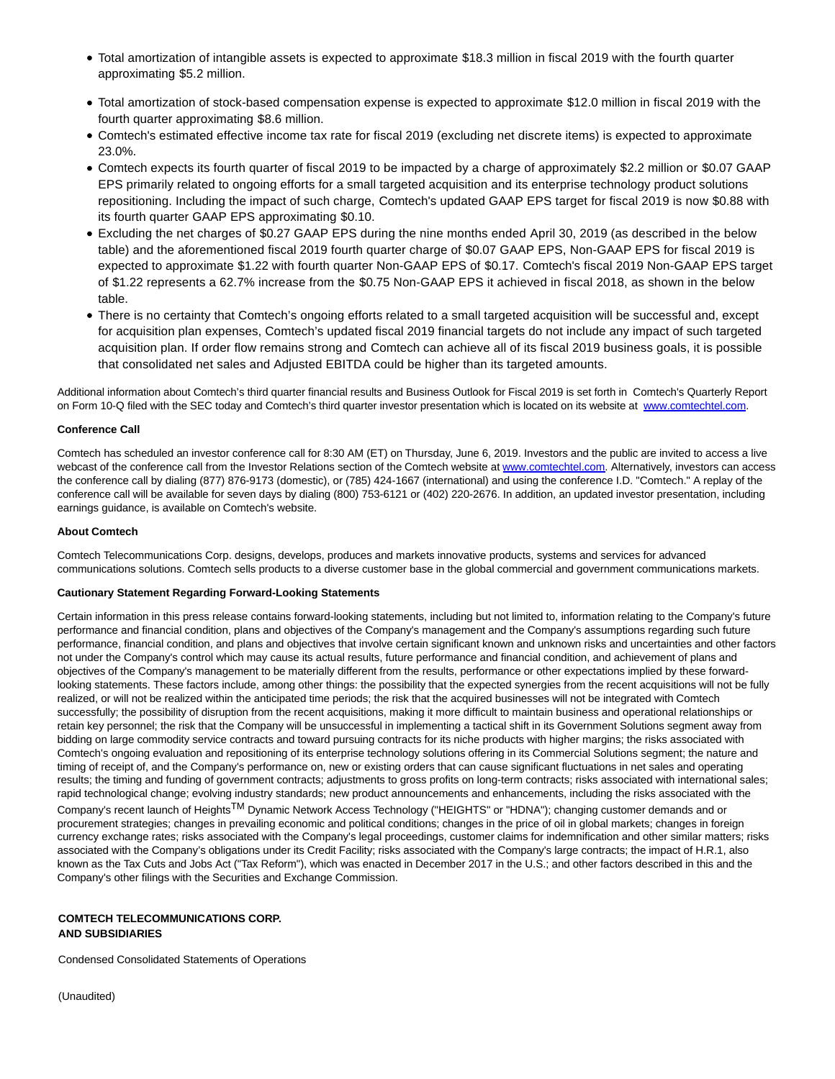- Total amortization of intangible assets is expected to approximate \$18.3 million in fiscal 2019 with the fourth quarter approximating \$5.2 million.
- Total amortization of stock-based compensation expense is expected to approximate \$12.0 million in fiscal 2019 with the fourth quarter approximating \$8.6 million.
- Comtech's estimated effective income tax rate for fiscal 2019 (excluding net discrete items) is expected to approximate 23.0%.
- Comtech expects its fourth quarter of fiscal 2019 to be impacted by a charge of approximately \$2.2 million or \$0.07 GAAP EPS primarily related to ongoing efforts for a small targeted acquisition and its enterprise technology product solutions repositioning. Including the impact of such charge, Comtech's updated GAAP EPS target for fiscal 2019 is now \$0.88 with its fourth quarter GAAP EPS approximating \$0.10.
- Excluding the net charges of \$0.27 GAAP EPS during the nine months ended April 30, 2019 (as described in the below table) and the aforementioned fiscal 2019 fourth quarter charge of \$0.07 GAAP EPS, Non-GAAP EPS for fiscal 2019 is expected to approximate \$1.22 with fourth quarter Non-GAAP EPS of \$0.17. Comtech's fiscal 2019 Non-GAAP EPS target of \$1.22 represents a 62.7% increase from the \$0.75 Non-GAAP EPS it achieved in fiscal 2018, as shown in the below table.
- There is no certainty that Comtech's ongoing efforts related to a small targeted acquisition will be successful and, except for acquisition plan expenses, Comtech's updated fiscal 2019 financial targets do not include any impact of such targeted acquisition plan. If order flow remains strong and Comtech can achieve all of its fiscal 2019 business goals, it is possible that consolidated net sales and Adjusted EBITDA could be higher than its targeted amounts.

Additional information about Comtech's third quarter financial results and Business Outlook for Fiscal 2019 is set forth in Comtech's Quarterly Report on Form 10-Q filed with the SEC today and Comtech's third quarter investor presentation which is located on its website at [www.comtechtel.com.](https://cts.businesswire.com/ct/CT?id=smartlink&url=http%3A%2F%2Fwww.comtechtel.com&esheet=51995241&newsitemid=20190605005962&lan=en-US&anchor=www.comtechtel.com&index=1&md5=9db43028a9aa23494b0b4a015eae687a)

# **Conference Call**

Comtech has scheduled an investor conference call for 8:30 AM (ET) on Thursday, June 6, 2019. Investors and the public are invited to access a live webcast of the conference call from the Investor Relations section of the Comtech website at [www.comtechtel.com.](https://cts.businesswire.com/ct/CT?id=smartlink&url=http%3A%2F%2Fwww.comtechtel.com&esheet=51995241&newsitemid=20190605005962&lan=en-US&anchor=www.comtechtel.com&index=2&md5=ecb0554391a7b678e2a0fcbd5d5efae8) Alternatively, investors can access the conference call by dialing (877) 876-9173 (domestic), or (785) 424-1667 (international) and using the conference I.D. "Comtech." A replay of the conference call will be available for seven days by dialing (800) 753-6121 or (402) 220-2676. In addition, an updated investor presentation, including earnings guidance, is available on Comtech's website.

# **About Comtech**

Comtech Telecommunications Corp. designs, develops, produces and markets innovative products, systems and services for advanced communications solutions. Comtech sells products to a diverse customer base in the global commercial and government communications markets.

# **Cautionary Statement Regarding Forward-Looking Statements**

Certain information in this press release contains forward-looking statements, including but not limited to, information relating to the Company's future performance and financial condition, plans and objectives of the Company's management and the Company's assumptions regarding such future performance, financial condition, and plans and objectives that involve certain significant known and unknown risks and uncertainties and other factors not under the Company's control which may cause its actual results, future performance and financial condition, and achievement of plans and objectives of the Company's management to be materially different from the results, performance or other expectations implied by these forwardlooking statements. These factors include, among other things: the possibility that the expected synergies from the recent acquisitions will not be fully realized, or will not be realized within the anticipated time periods; the risk that the acquired businesses will not be integrated with Comtech successfully; the possibility of disruption from the recent acquisitions, making it more difficult to maintain business and operational relationships or retain key personnel; the risk that the Company will be unsuccessful in implementing a tactical shift in its Government Solutions segment away from bidding on large commodity service contracts and toward pursuing contracts for its niche products with higher margins; the risks associated with Comtech's ongoing evaluation and repositioning of its enterprise technology solutions offering in its Commercial Solutions segment; the nature and timing of receipt of, and the Company's performance on, new or existing orders that can cause significant fluctuations in net sales and operating results; the timing and funding of government contracts; adjustments to gross profits on long-term contracts; risks associated with international sales; rapid technological change; evolving industry standards; new product announcements and enhancements, including the risks associated with the Company's recent launch of HeightsTM Dynamic Network Access Technology ("HEIGHTS" or "HDNA"); changing customer demands and or procurement strategies; changes in prevailing economic and political conditions; changes in the price of oil in global markets; changes in foreign currency exchange rates; risks associated with the Company's legal proceedings, customer claims for indemnification and other similar matters; risks associated with the Company's obligations under its Credit Facility; risks associated with the Company's large contracts; the impact of H.R.1, also known as the Tax Cuts and Jobs Act ("Tax Reform"), which was enacted in December 2017 in the U.S.; and other factors described in this and the Company's other filings with the Securities and Exchange Commission.

#### **COMTECH TELECOMMUNICATIONS CORP. AND SUBSIDIARIES**

Condensed Consolidated Statements of Operations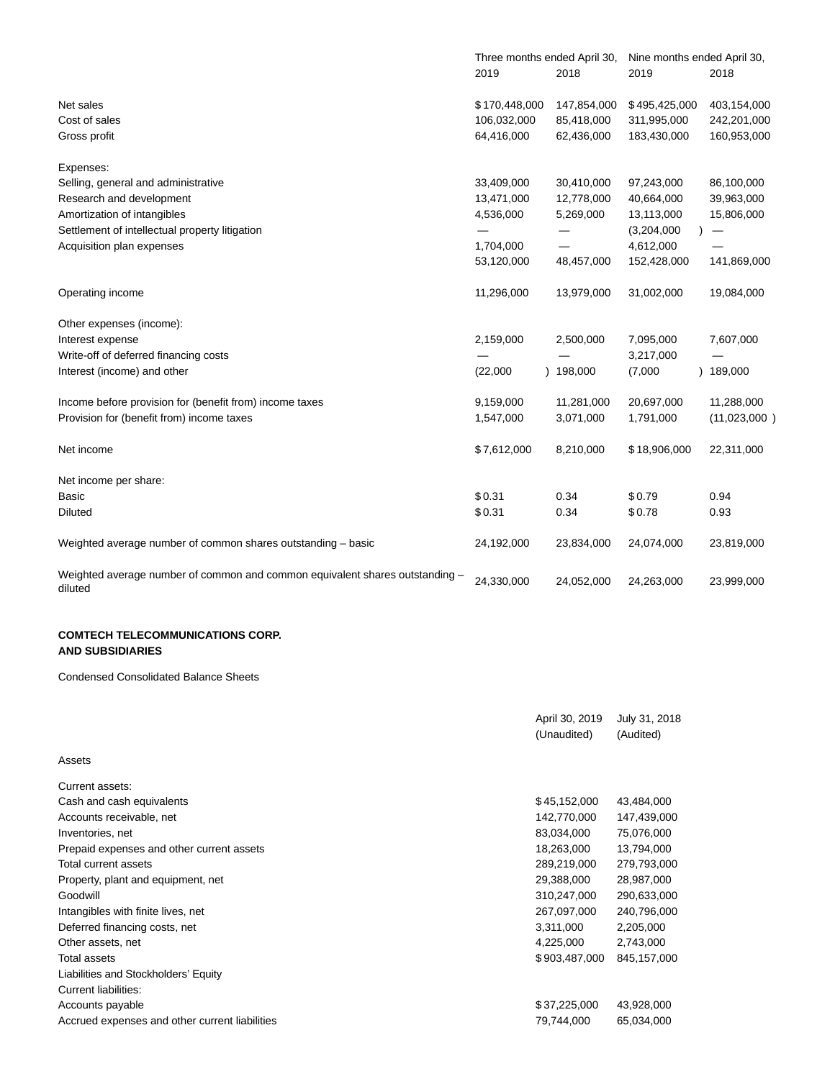|                                                                                         | Three months ended April 30, |                          | Nine months ended April 30, |                          |
|-----------------------------------------------------------------------------------------|------------------------------|--------------------------|-----------------------------|--------------------------|
|                                                                                         | 2019                         | 2018                     | 2019                        | 2018                     |
| Net sales                                                                               | \$170,448,000                | 147,854,000              | \$495,425,000               | 403,154,000              |
| Cost of sales                                                                           | 106,032,000                  | 85,418,000               | 311,995,000                 | 242,201,000              |
| Gross profit                                                                            | 64,416,000                   | 62,436,000               | 183,430,000                 | 160,953,000              |
| Expenses:                                                                               |                              |                          |                             |                          |
| Selling, general and administrative                                                     | 33,409,000                   | 30,410,000               | 97,243,000                  | 86,100,000               |
| Research and development                                                                | 13,471,000                   | 12,778,000               | 40,664,000                  | 39,963,000               |
| Amortization of intangibles                                                             | 4,536,000                    | 5,269,000                | 13,113,000                  | 15,806,000               |
| Settlement of intellectual property litigation                                          |                              |                          | (3,204,000)                 | $\overline{\phantom{0}}$ |
| Acquisition plan expenses                                                               | 1,704,000                    | $\overline{\phantom{0}}$ | 4,612,000                   |                          |
|                                                                                         | 53,120,000                   | 48,457,000               | 152,428,000                 | 141,869,000              |
| Operating income                                                                        | 11,296,000                   | 13,979,000               | 31,002,000                  | 19,084,000               |
| Other expenses (income):                                                                |                              |                          |                             |                          |
| Interest expense                                                                        | 2,159,000                    | 2,500,000                | 7,095,000                   | 7,607,000                |
| Write-off of deferred financing costs                                                   |                              |                          | 3,217,000                   |                          |
| Interest (income) and other                                                             | (22,000)                     | ) 198,000                | (7,000)                     | ) 189,000                |
| Income before provision for (benefit from) income taxes                                 | 9,159,000                    | 11,281,000               | 20,697,000                  | 11,288,000               |
| Provision for (benefit from) income taxes                                               | 1,547,000                    | 3,071,000                | 1,791,000                   | (11,023,000)             |
| Net income                                                                              | \$7,612,000                  | 8,210,000                | \$18,906,000                | 22,311,000               |
| Net income per share:                                                                   |                              |                          |                             |                          |
| Basic                                                                                   | \$0.31                       | 0.34                     | \$0.79                      | 0.94                     |
| <b>Diluted</b>                                                                          | \$0.31                       | 0.34                     | \$0.78                      | 0.93                     |
| Weighted average number of common shares outstanding - basic                            | 24,192,000                   | 23,834,000               | 24,074,000                  | 23,819,000               |
| Weighted average number of common and common equivalent shares outstanding -<br>diluted | 24,330,000                   | 24,052,000               | 24,263,000                  | 23,999,000               |

# **COMTECH TELECOMMUNICATIONS CORP. AND SUBSIDIARIES**

Condensed Consolidated Balance Sheets

|                                                | April 30, 2019<br>(Unaudited) | July 31, 2018<br>(Audited) |
|------------------------------------------------|-------------------------------|----------------------------|
| Assets                                         |                               |                            |
| Current assets:                                |                               |                            |
| Cash and cash equivalents                      | \$45,152,000                  | 43,484,000                 |
| Accounts receivable, net                       | 142,770,000                   | 147,439,000                |
| Inventories, net                               | 83,034,000                    | 75,076,000                 |
| Prepaid expenses and other current assets      | 18,263,000                    | 13,794,000                 |
| Total current assets                           | 289,219,000                   | 279,793,000                |
| Property, plant and equipment, net             | 29,388,000                    | 28,987,000                 |
| Goodwill                                       | 310,247,000                   | 290,633,000                |
| Intangibles with finite lives, net             | 267,097,000                   | 240,796,000                |
| Deferred financing costs, net                  | 3,311,000                     | 2,205,000                  |
| Other assets, net                              | 4,225,000                     | 2,743,000                  |
| Total assets                                   | \$903,487,000                 | 845,157,000                |
| Liabilities and Stockholders' Equity           |                               |                            |
| <b>Current liabilities:</b>                    |                               |                            |
| Accounts payable                               | \$37,225,000                  | 43,928,000                 |
| Accrued expenses and other current liabilities | 79,744,000                    | 65,034,000                 |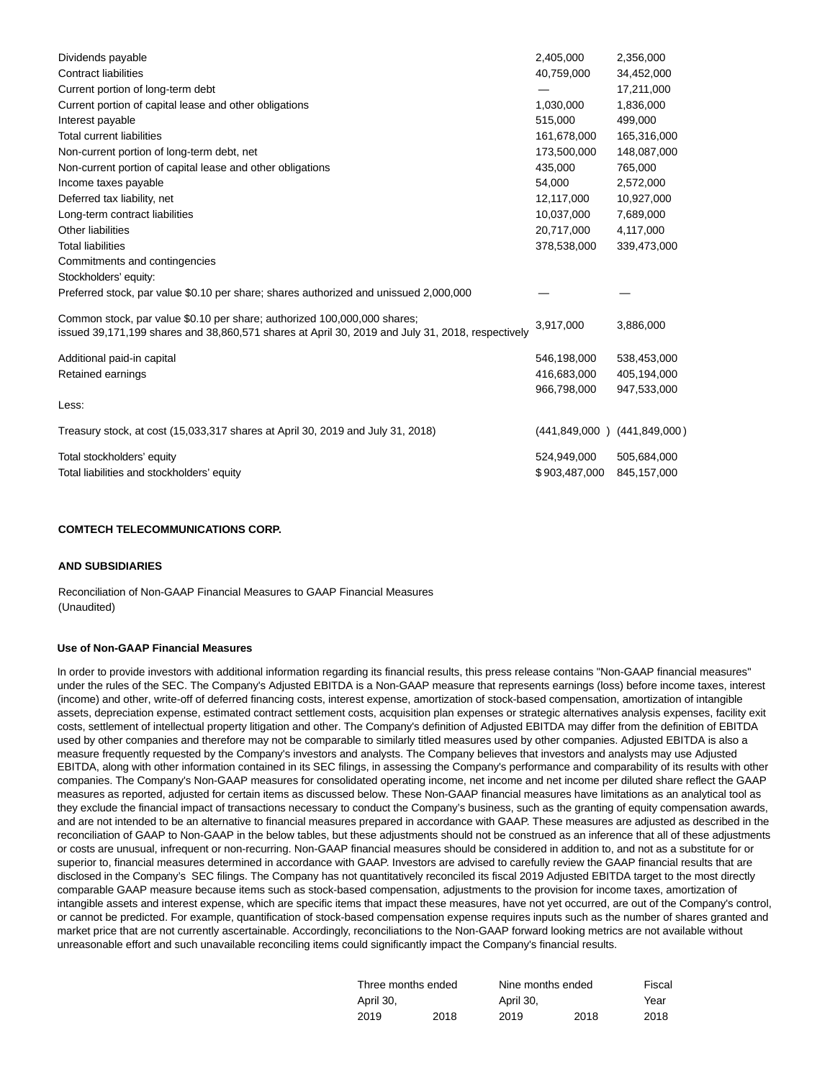| Dividends payable                                                                                                                                                            | 2,405,000       | 2,356,000       |
|------------------------------------------------------------------------------------------------------------------------------------------------------------------------------|-----------------|-----------------|
| <b>Contract liabilities</b>                                                                                                                                                  | 40,759,000      | 34,452,000      |
| Current portion of long-term debt                                                                                                                                            |                 | 17,211,000      |
| Current portion of capital lease and other obligations                                                                                                                       | 1,030,000       | 1,836,000       |
| Interest payable                                                                                                                                                             | 515,000         | 499,000         |
| <b>Total current liabilities</b>                                                                                                                                             | 161,678,000     | 165,316,000     |
| Non-current portion of long-term debt, net                                                                                                                                   | 173,500,000     | 148,087,000     |
| Non-current portion of capital lease and other obligations                                                                                                                   | 435.000         | 765.000         |
| Income taxes payable                                                                                                                                                         | 54,000          | 2,572,000       |
| Deferred tax liability, net                                                                                                                                                  | 12,117,000      | 10,927,000      |
| Long-term contract liabilities                                                                                                                                               | 10,037,000      | 7,689,000       |
| Other liabilities                                                                                                                                                            | 20,717,000      | 4,117,000       |
| <b>Total liabilities</b>                                                                                                                                                     | 378,538,000     | 339,473,000     |
| Commitments and contingencies                                                                                                                                                |                 |                 |
| Stockholders' equity:                                                                                                                                                        |                 |                 |
| Preferred stock, par value \$0.10 per share; shares authorized and unissued 2,000,000                                                                                        |                 |                 |
| Common stock, par value \$0.10 per share; authorized 100,000,000 shares;<br>issued 39,171,199 shares and 38,860,571 shares at April 30, 2019 and July 31, 2018, respectively | 3,917,000       | 3,886,000       |
| Additional paid-in capital                                                                                                                                                   | 546,198,000     | 538,453,000     |
| Retained earnings                                                                                                                                                            | 416,683,000     | 405,194,000     |
|                                                                                                                                                                              | 966,798,000     | 947,533,000     |
| Less:                                                                                                                                                                        |                 |                 |
| Treasury stock, at cost (15,033,317 shares at April 30, 2019 and July 31, 2018)                                                                                              | (441, 849, 000) | (441, 849, 000) |
| Total stockholders' equity                                                                                                                                                   | 524,949,000     | 505,684,000     |
| Total liabilities and stockholders' equity                                                                                                                                   | \$903,487,000   | 845,157,000     |

# **COMTECH TELECOMMUNICATIONS CORP.**

#### **AND SUBSIDIARIES**

Reconciliation of Non-GAAP Financial Measures to GAAP Financial Measures (Unaudited)

# **Use of Non-GAAP Financial Measures**

In order to provide investors with additional information regarding its financial results, this press release contains "Non-GAAP financial measures" under the rules of the SEC. The Company's Adjusted EBITDA is a Non-GAAP measure that represents earnings (loss) before income taxes, interest (income) and other, write-off of deferred financing costs, interest expense, amortization of stock-based compensation, amortization of intangible assets, depreciation expense, estimated contract settlement costs, acquisition plan expenses or strategic alternatives analysis expenses, facility exit costs, settlement of intellectual property litigation and other. The Company's definition of Adjusted EBITDA may differ from the definition of EBITDA used by other companies and therefore may not be comparable to similarly titled measures used by other companies. Adjusted EBITDA is also a measure frequently requested by the Company's investors and analysts. The Company believes that investors and analysts may use Adjusted EBITDA, along with other information contained in its SEC filings, in assessing the Company's performance and comparability of its results with other companies. The Company's Non-GAAP measures for consolidated operating income, net income and net income per diluted share reflect the GAAP measures as reported, adjusted for certain items as discussed below. These Non-GAAP financial measures have limitations as an analytical tool as they exclude the financial impact of transactions necessary to conduct the Company's business, such as the granting of equity compensation awards, and are not intended to be an alternative to financial measures prepared in accordance with GAAP. These measures are adjusted as described in the reconciliation of GAAP to Non-GAAP in the below tables, but these adjustments should not be construed as an inference that all of these adjustments or costs are unusual, infrequent or non-recurring. Non-GAAP financial measures should be considered in addition to, and not as a substitute for or superior to, financial measures determined in accordance with GAAP. Investors are advised to carefully review the GAAP financial results that are disclosed in the Company's SEC filings. The Company has not quantitatively reconciled its fiscal 2019 Adjusted EBITDA target to the most directly comparable GAAP measure because items such as stock-based compensation, adjustments to the provision for income taxes, amortization of intangible assets and interest expense, which are specific items that impact these measures, have not yet occurred, are out of the Company's control, or cannot be predicted. For example, quantification of stock-based compensation expense requires inputs such as the number of shares granted and market price that are not currently ascertainable. Accordingly, reconciliations to the Non-GAAP forward looking metrics are not available without unreasonable effort and such unavailable reconciling items could significantly impact the Company's financial results.

| Three months ended |      | Nine months ended |      | Fiscal |
|--------------------|------|-------------------|------|--------|
| April 30,          |      | April 30,         |      | Year   |
| 2019               | 2018 | 2019              | 2018 | 2018   |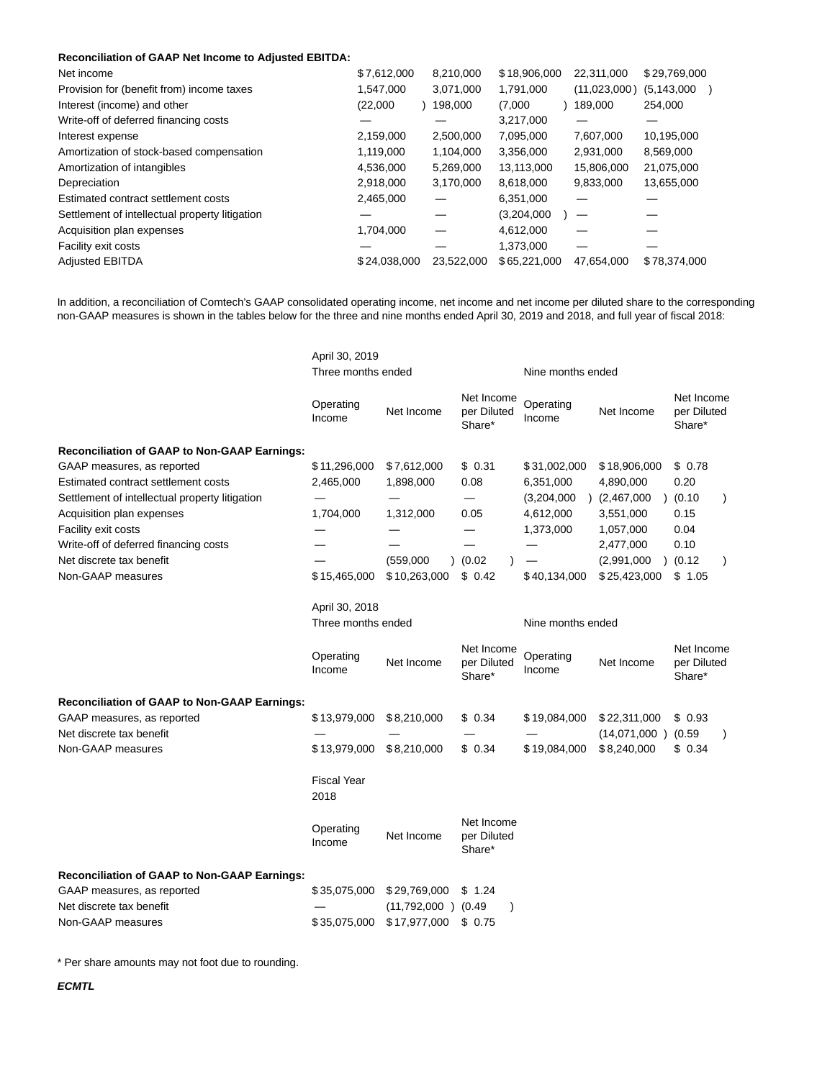#### **Reconciliation of GAAP Net Income to Adjusted EBITDA:**

| Net income                                     | \$7,612,000  | 8,210,000  | \$18,906,000 | 22,311,000   | \$29,769,000  |
|------------------------------------------------|--------------|------------|--------------|--------------|---------------|
| Provision for (benefit from) income taxes      | 1,547,000    | 3,071,000  | 1,791,000    | (11,023,000) | (5, 143, 000) |
| Interest (income) and other                    | (22.000)     | 198.000    | (7,000)      | 189.000      | 254,000       |
| Write-off of deferred financing costs          |              |            | 3,217,000    |              |               |
| Interest expense                               | 2,159,000    | 2,500,000  | 7,095,000    | 7,607,000    | 10,195,000    |
| Amortization of stock-based compensation       | 1,119,000    | 1,104,000  | 3,356,000    | 2,931,000    | 8,569,000     |
| Amortization of intangibles                    | 4,536,000    | 5,269,000  | 13,113,000   | 15,806,000   | 21,075,000    |
| Depreciation                                   | 2,918,000    | 3,170,000  | 8,618,000    | 9,833,000    | 13,655,000    |
| Estimated contract settlement costs            | 2,465,000    |            | 6,351,000    |              |               |
| Settlement of intellectual property litigation |              |            | (3,204,000)  |              |               |
| Acquisition plan expenses                      | 1,704,000    |            | 4,612,000    |              |               |
| Facility exit costs                            |              |            | 1,373,000    |              |               |
| <b>Adjusted EBITDA</b>                         | \$24,038,000 | 23,522,000 | \$65,221,000 | 47,654,000   | \$78,374,000  |

In addition, a reconciliation of Comtech's GAAP consolidated operating income, net income and net income per diluted share to the corresponding non-GAAP measures is shown in the tables below for the three and nine months ended April 30, 2019 and 2018, and full year of fiscal 2018:

|                                                                                                                                                  | April 30, 2019<br>Three months ended   |                                       | Nine months ended                   |                                                       |                                                       |                                               |
|--------------------------------------------------------------------------------------------------------------------------------------------------|----------------------------------------|---------------------------------------|-------------------------------------|-------------------------------------------------------|-------------------------------------------------------|-----------------------------------------------|
|                                                                                                                                                  | Operating<br>Income                    | Net Income                            | Net Income<br>per Diluted<br>Share* | Operating<br>Income                                   | Net Income                                            | Net Income<br>per Diluted<br>Share*           |
| <b>Reconciliation of GAAP to Non-GAAP Earnings:</b>                                                                                              |                                        |                                       |                                     |                                                       |                                                       |                                               |
| GAAP measures, as reported<br>Estimated contract settlement costs<br>Settlement of intellectual property litigation<br>Acquisition plan expenses | \$11,296,000<br>2,465,000<br>1,704,000 | \$7,612,000<br>1,898,000<br>1,312,000 | \$0.31<br>0.08<br>0.05              | \$31,002,000<br>6,351,000<br>(3,204,000)<br>4,612,000 | \$18,906,000<br>4,890,000<br>(2,467,000)<br>3,551,000 | \$0.78<br>0.20<br>(0.10)<br>$\lambda$<br>0.15 |
| Facility exit costs<br>Write-off of deferred financing costs                                                                                     |                                        |                                       |                                     | 1,373,000                                             | 1,057,000<br>2,477,000                                | 0.04<br>0.10                                  |
| Net discrete tax benefit<br>Non-GAAP measures                                                                                                    | \$15,465,000                           | (559,000)<br>\$10,263,000             | (0.02)<br>\$0.42                    | \$40,134,000                                          | (2,991,000)<br>\$25,423,000                           | (0.12)<br>$\mathcal{E}$<br>\$1.05             |
|                                                                                                                                                  | April 30, 2018<br>Three months ended   |                                       |                                     | Nine months ended                                     |                                                       |                                               |
|                                                                                                                                                  | Operating<br>Income                    | Net Income                            | Net Income<br>per Diluted<br>Share* | Operating<br>Income                                   | Net Income                                            | Net Income<br>per Diluted<br>Share*           |
| <b>Reconciliation of GAAP to Non-GAAP Earnings:</b>                                                                                              |                                        |                                       |                                     |                                                       |                                                       |                                               |
| GAAP measures, as reported<br>Net discrete tax benefit<br>Non-GAAP measures                                                                      | \$13,979,000<br>\$13,979,000           | \$8,210,000<br>\$8,210,000            | \$0.34<br>\$ 0.34                   | \$19,084,000<br>\$19,084,000                          | \$22,311,000<br>(14,071,000)<br>\$8,240,000           | \$0.93<br>(0.59)<br>$\mathcal{E}$<br>\$0.34   |
|                                                                                                                                                  | <b>Fiscal Year</b><br>2018             |                                       |                                     |                                                       |                                                       |                                               |
|                                                                                                                                                  | Operating<br>Income                    | Net Income                            | Net Income<br>per Diluted<br>Share* |                                                       |                                                       |                                               |
| <b>Reconciliation of GAAP to Non-GAAP Earnings:</b>                                                                                              |                                        |                                       |                                     |                                                       |                                                       |                                               |
| GAAP measures, as reported                                                                                                                       | \$35,075,000                           | \$29,769,000                          | \$1.24                              |                                                       |                                                       |                                               |
| Net discrete tax benefit                                                                                                                         |                                        | $(11,792,000)$ $(0.49)$               |                                     |                                                       |                                                       |                                               |
| Non-GAAP measures                                                                                                                                | \$35,075,000                           | \$17,977,000                          | \$0.75                              |                                                       |                                                       |                                               |

\* Per share amounts may not foot due to rounding.

**ECMTL**